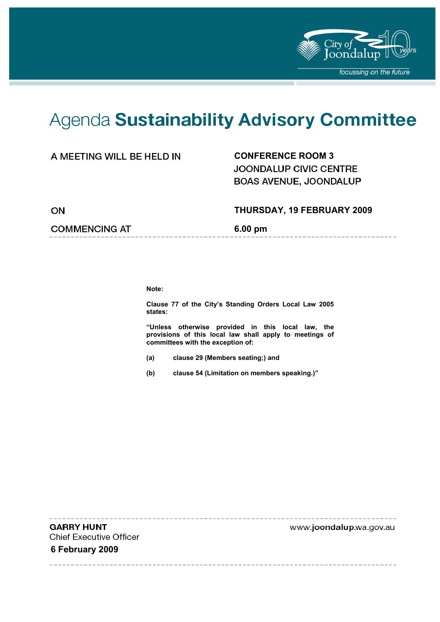

# Agenda Sustainability Advisory Committee

### **CONFERENCE ROOM 3**

JOONDALUP CIVIC CENTRE BOAS AVENUE, JOONDALUP

 **THURSDAY, 19 FEBRUARY 2009** 

ON

#### **COMMENCING AT 6.00 pm**

**Note:** 

**Clause 77 of the City's Standing Orders Local Law 2005 states:** 

**"Unless otherwise provided in this local law, the provisions of this local law shall apply to meetings of committees with the exception of:** 

- **(a) clause 29 (Members seating;) and**
- **(b) clause 54 (Limitation on members speaking.)"**

**GARRY HUNT Chief Executive Officer 6 February 2009** 

www.joondalup.wa.gov.au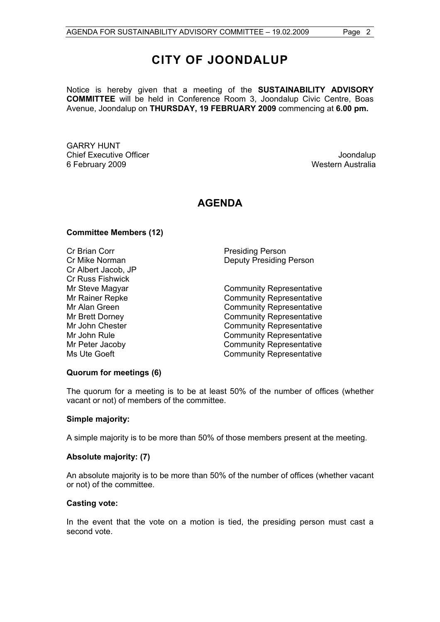# **CITY OF JOONDALUP**

Notice is hereby given that a meeting of the **SUSTAINABILITY ADVISORY COMMITTEE** will be held in Conference Room 3, Joondalup Civic Centre, Boas Avenue, Joondalup on **THURSDAY, 19 FEBRUARY 2009** commencing at **6.00 pm.** 

GARRY HUNT Chief Executive Officer **Joondalup** 6 February 2009 Western Australia

# **AGENDA**

#### **Committee Members (12)**

Cr Brian Corr **Presiding Person** Cr Albert Jacob, JP Cr Russ Fishwick

Cr Mike Norman Deputy Presiding Person

Mr Steve Magyar **Community Representative** Mr Rainer Repke Community Representative Mr Alan Green **Community Representative** Mr Brett Dorney **Community Representative** Mr John Chester **Community Representative**<br>Mr John Rule **Community Representative Community Representative** Mr Peter Jacoby Community Representative Ms Ute Goeft Community Representative

#### **Quorum for meetings (6)**

The quorum for a meeting is to be at least 50% of the number of offices (whether vacant or not) of members of the committee.

#### **Simple majority:**

A simple majority is to be more than 50% of those members present at the meeting.

#### **Absolute majority: (7)**

An absolute majority is to be more than 50% of the number of offices (whether vacant or not) of the committee.

#### **Casting vote:**

In the event that the vote on a motion is tied, the presiding person must cast a second vote.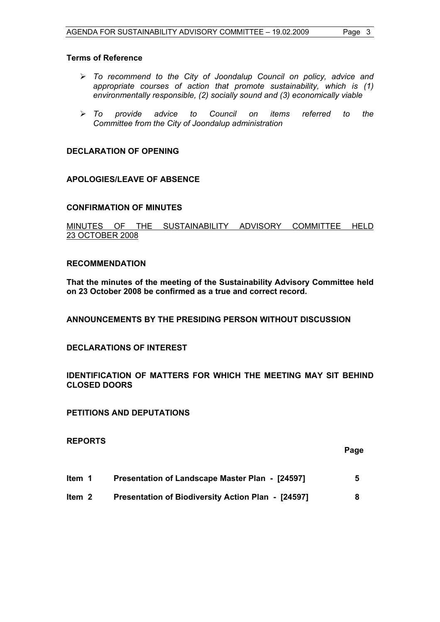#### **Terms of Reference**

- ¾ *To recommend to the City of Joondalup Council on policy, advice and appropriate courses of action that promote sustainability, which is (1) environmentally responsible, (2) socially sound and (3) economically viable*
- ¾ *To provide advice to Council on items referred to the Committee from the City of Joondalup administration*

#### **DECLARATION OF OPENING**

#### **APOLOGIES/LEAVE OF ABSENCE**

#### **CONFIRMATION OF MINUTES**

MINUTES OF THE SUSTAINABILITY ADVISORY COMMITTEE HELD 23 OCTOBER 2008

#### **RECOMMENDATION**

**That the minutes of the meeting of the Sustainability Advisory Committee held on 23 October 2008 be confirmed as a true and correct record.** 

**ANNOUNCEMENTS BY THE PRESIDING PERSON WITHOUT DISCUSSION** 

#### **DECLARATIONS OF INTEREST**

#### **IDENTIFICATION OF MATTERS FOR WHICH THE MEETING MAY SIT BEHIND CLOSED DOORS**

#### **PETITIONS AND DEPUTATIONS**

#### **REPORTS**

#### **Page**

- **Item 1 Presentation of Landscape Master Plan [24597] 5**
- **Item 2 Presentation of Biodiversity Action Plan [24597] 8**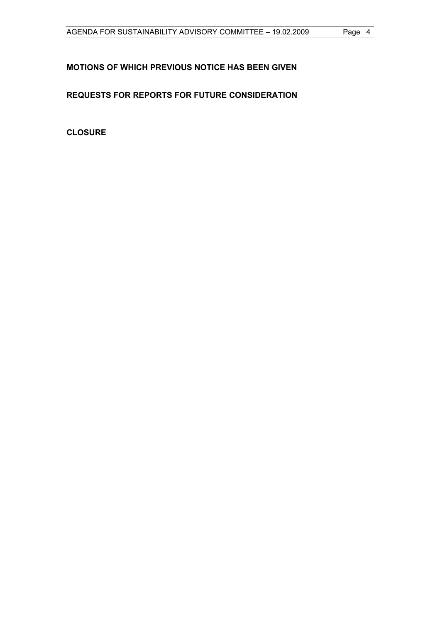### **MOTIONS OF WHICH PREVIOUS NOTICE HAS BEEN GIVEN**

## **REQUESTS FOR REPORTS FOR FUTURE CONSIDERATION**

**CLOSURE**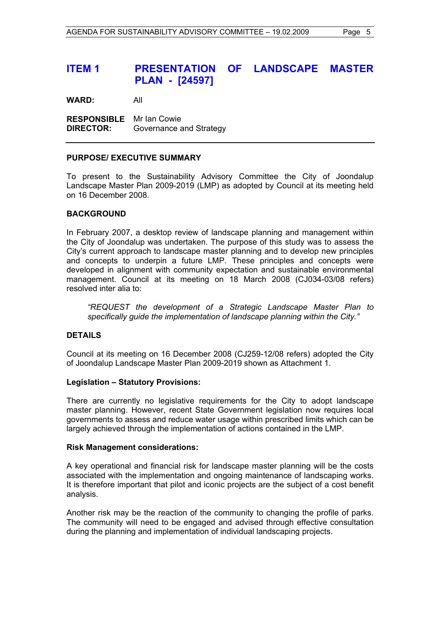# **ITEM 1 PRESENTATION OF LANDSCAPE MASTER PLAN - [24597]**

**WARD:** All

**RESPONSIBLE** Mr Ian Cowie **DIRECTOR:** Governance and Strategy

#### **PURPOSE/ EXECUTIVE SUMMARY**

To present to the Sustainability Advisory Committee the City of Joondalup Landscape Master Plan 2009-2019 (LMP) as adopted by Council at its meeting held on 16 December 2008.

#### **BACKGROUND**

In February 2007, a desktop review of landscape planning and management within the City of Joondalup was undertaken. The purpose of this study was to assess the City's current approach to landscape master planning and to develop new principles and concepts to underpin a future LMP. These principles and concepts were developed in alignment with community expectation and sustainable environmental management. Council at its meeting on 18 March 2008 (CJ034-03/08 refers) resolved inter alia to:

*"REQUEST the development of a Strategic Landscape Master Plan to specifically guide the implementation of landscape planning within the City."* 

#### **DETAILS**

Council at its meeting on 16 December 2008 (CJ259-12/08 refers) adopted the City of Joondalup Landscape Master Plan 2009-2019 shown as Attachment 1.

#### **Legislation – Statutory Provisions:**

There are currently no legislative requirements for the City to adopt landscape master planning. However, recent State Government legislation now requires local governments to assess and reduce water usage within prescribed limits which can be largely achieved through the implementation of actions contained in the LMP.

#### **Risk Management considerations:**

A key operational and financial risk for landscape master planning will be the costs associated with the implementation and ongoing maintenance of landscaping works. It is therefore important that pilot and iconic projects are the subject of a cost benefit analysis.

Another risk may be the reaction of the community to changing the profile of parks. The community will need to be engaged and advised through effective consultation during the planning and implementation of individual landscaping projects.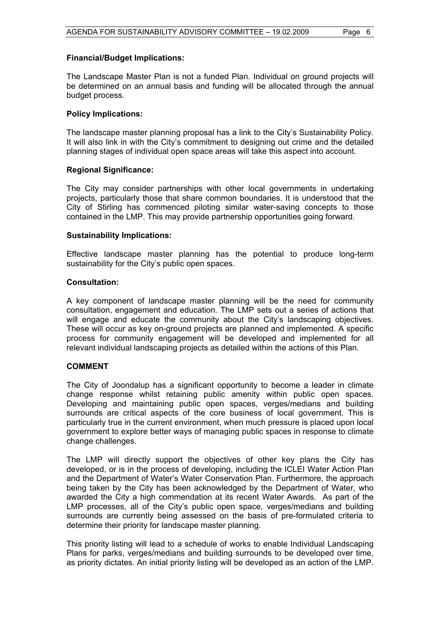#### **Financial/Budget Implications:**

The Landscape Master Plan is not a funded Plan. Individual on ground projects will be determined on an annual basis and funding will be allocated through the annual budget process.

#### **Policy Implications:**

The landscape master planning proposal has a link to the City's Sustainability Policy. It will also link in with the City's commitment to designing out crime and the detailed planning stages of individual open space areas will take this aspect into account.

#### **Regional Significance:**

The City may consider partnerships with other local governments in undertaking projects, particularly those that share common boundaries. It is understood that the City of Stirling has commenced piloting similar water-saving concepts to those contained in the LMP. This may provide partnership opportunities going forward.

#### **Sustainability Implications:**

Effective landscape master planning has the potential to produce long-term sustainability for the City's public open spaces.

#### **Consultation:**

A key component of landscape master planning will be the need for community consultation, engagement and education. The LMP sets out a series of actions that will engage and educate the community about the City's landscaping objectives. These will occur as key on-ground projects are planned and implemented. A specific process for community engagement will be developed and implemented for all relevant individual landscaping projects as detailed within the actions of this Plan.

#### **COMMENT**

The City of Joondalup has a significant opportunity to become a leader in climate change response whilst retaining public amenity within public open spaces. Developing and maintaining public open spaces, verges/medians and building surrounds are critical aspects of the core business of local government. This is particularly true in the current environment, when much pressure is placed upon local government to explore better ways of managing public spaces in response to climate change challenges.

The LMP will directly support the objectives of other key plans the City has developed, or is in the process of developing, including the ICLEI Water Action Plan and the Department of Water's Water Conservation Plan. Furthermore, the approach being taken by the City has been acknowledged by the Department of Water, who awarded the City a high commendation at its recent Water Awards. As part of the LMP processes, all of the City's public open space, verges/medians and building surrounds are currently being assessed on the basis of pre-formulated criteria to determine their priority for landscape master planning.

This priority listing will lead to a schedule of works to enable Individual Landscaping Plans for parks, verges/medians and building surrounds to be developed over time, as priority dictates. An initial priority listing will be developed as an action of the LMP.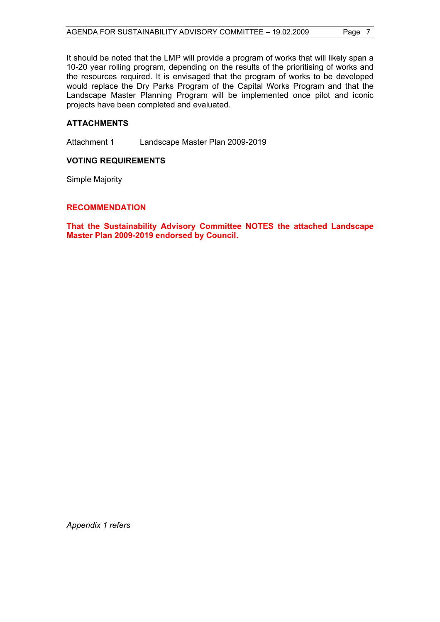It should be noted that the LMP will provide a program of works that will likely span a 10-20 year rolling program, depending on the results of the prioritising of works and the resources required. It is envisaged that the program of works to be developed would replace the Dry Parks Program of the Capital Works Program and that the Landscape Master Planning Program will be implemented once pilot and iconic projects have been completed and evaluated.

#### **ATTACHMENTS**

Attachment 1 Landscape Master Plan 2009-2019

#### **VOTING REQUIREMENTS**

Simple Majority

#### **RECOMMENDATION**

**That the Sustainability Advisory Committee NOTES the attached Landscape Master Plan 2009-2019 endorsed by Council.** 

*Appendix 1 refers*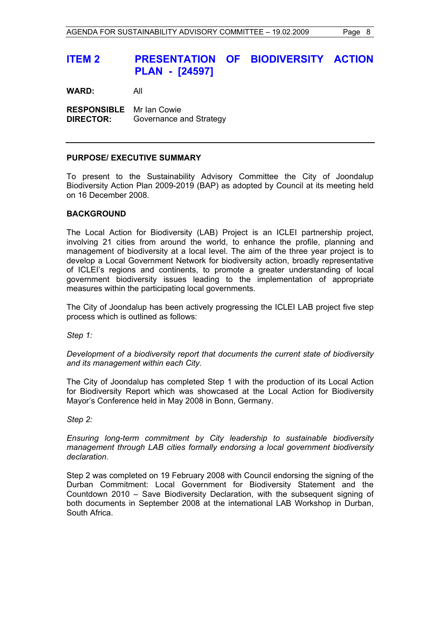# **ITEM 2 PRESENTATION OF BIODIVERSITY ACTION PLAN - [24597]**

**WARD:** All

**RESPONSIBLE** Mr Ian Cowie **DIRECTOR:** Governance and Strategy

#### **PURPOSE/ EXECUTIVE SUMMARY**

To present to the Sustainability Advisory Committee the City of Joondalup Biodiversity Action Plan 2009-2019 (BAP) as adopted by Council at its meeting held on 16 December 2008.

#### **BACKGROUND**

The Local Action for Biodiversity (LAB) Project is an ICLEI partnership project, involving 21 cities from around the world, to enhance the profile, planning and management of biodiversity at a local level. The aim of the three year project is to develop a Local Government Network for biodiversity action, broadly representative of ICLEI's regions and continents, to promote a greater understanding of local government biodiversity issues leading to the implementation of appropriate measures within the participating local governments.

The City of Joondalup has been actively progressing the ICLEI LAB project five step process which is outlined as follows:

*Step 1:* 

*Development of a biodiversity report that documents the current state of biodiversity and its management within each City.* 

The City of Joondalup has completed Step 1 with the production of its Local Action for Biodiversity Report which was showcased at the Local Action for Biodiversity Mayor's Conference held in May 2008 in Bonn, Germany.

*Step 2:* 

*Ensuring long-term commitment by City leadership to sustainable biodiversity management through LAB cities formally endorsing a local government biodiversity declaration.* 

Step 2 was completed on 19 February 2008 with Council endorsing the signing of the Durban Commitment: Local Government for Biodiversity Statement and the Countdown 2010 – Save Biodiversity Declaration, with the subsequent signing of both documents in September 2008 at the international LAB Workshop in Durban, South Africa.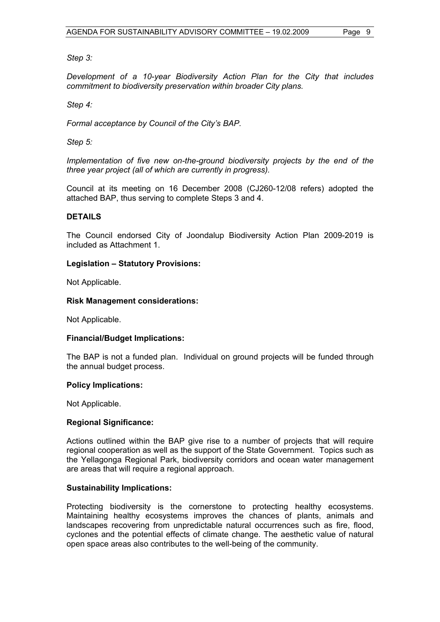#### *Step 3:*

*Development of a 10-year Biodiversity Action Plan for the City that includes commitment to biodiversity preservation within broader City plans.* 

#### *Step 4:*

*Formal acceptance by Council of the City's BAP.* 

*Step 5:* 

*Implementation of five new on-the-ground biodiversity projects by the end of the three year project (all of which are currently in progress).* 

Council at its meeting on 16 December 2008 (CJ260-12/08 refers) adopted the attached BAP, thus serving to complete Steps 3 and 4.

#### **DETAILS**

The Council endorsed City of Joondalup Biodiversity Action Plan 2009-2019 is included as Attachment 1.

#### **Legislation – Statutory Provisions:**

Not Applicable.

#### **Risk Management considerations:**

Not Applicable.

#### **Financial/Budget Implications:**

The BAP is not a funded plan. Individual on ground projects will be funded through the annual budget process.

#### **Policy Implications:**

Not Applicable.

#### **Regional Significance:**

Actions outlined within the BAP give rise to a number of projects that will require regional cooperation as well as the support of the State Government. Topics such as the Yellagonga Regional Park, biodiversity corridors and ocean water management are areas that will require a regional approach.

#### **Sustainability Implications:**

Protecting biodiversity is the cornerstone to protecting healthy ecosystems. Maintaining healthy ecosystems improves the chances of plants, animals and landscapes recovering from unpredictable natural occurrences such as fire, flood, cyclones and the potential effects of climate change. The aesthetic value of natural open space areas also contributes to the well-being of the community.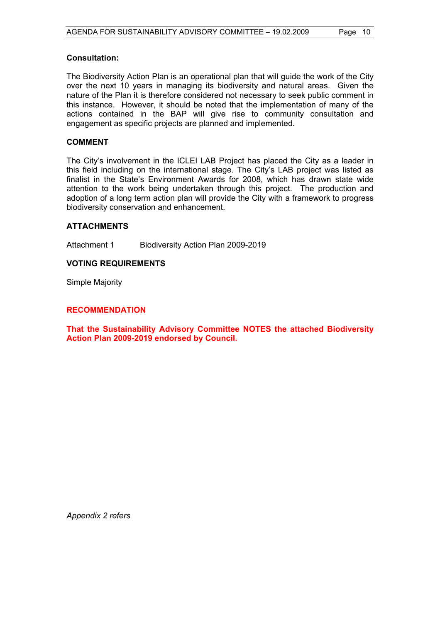#### **Consultation:**

The Biodiversity Action Plan is an operational plan that will guide the work of the City over the next 10 years in managing its biodiversity and natural areas. Given the nature of the Plan it is therefore considered not necessary to seek public comment in this instance. However, it should be noted that the implementation of many of the actions contained in the BAP will give rise to community consultation and engagement as specific projects are planned and implemented.

#### **COMMENT**

The City's involvement in the ICLEI LAB Project has placed the City as a leader in this field including on the international stage. The City's LAB project was listed as finalist in the State's Environment Awards for 2008, which has drawn state wide attention to the work being undertaken through this project. The production and adoption of a long term action plan will provide the City with a framework to progress biodiversity conservation and enhancement.

#### **ATTACHMENTS**

Attachment 1 Biodiversity Action Plan 2009-2019

#### **VOTING REQUIREMENTS**

Simple Majority

#### **RECOMMENDATION**

**That the Sustainability Advisory Committee NOTES the attached Biodiversity Action Plan 2009-2019 endorsed by Council.** 

*Appendix 2 refers*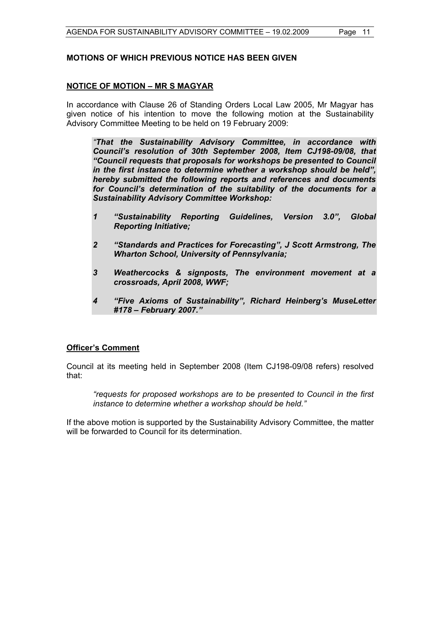#### **MOTIONS OF WHICH PREVIOUS NOTICE HAS BEEN GIVEN**

#### **NOTICE OF MOTION – MR S MAGYAR**

In accordance with Clause 26 of Standing Orders Local Law 2005, Mr Magyar has given notice of his intention to move the following motion at the Sustainability Advisory Committee Meeting to be held on 19 February 2009:

 *"That the Sustainability Advisory Committee, in accordance with Council's resolution of 30th September 2008, Item CJ198-09/08, that "Council requests that proposals for workshops be presented to Council in the first instance to determine whether a workshop should be held", hereby submitted the following reports and references and documents for Council's determination of the suitability of the documents for a Sustainability Advisory Committee Workshop:* 

- *1 "Sustainability Reporting Guidelines, Version 3.0", Global Reporting Initiative;*
- *2 "Standards and Practices for Forecasting", J Scott Armstrong, The Wharton School, University of Pennsylvania;*
- *3 Weathercocks & signposts, The environment movement at a crossroads, April 2008, WWF;*
- *4 "Five Axioms of Sustainability", Richard Heinberg's MuseLetter #178 – February 2007."*

#### **Officer's Comment**

Council at its meeting held in September 2008 (Item CJ198-09/08 refers) resolved that:

*"requests for proposed workshops are to be presented to Council in the first instance to determine whether a workshop should be held."* 

If the above motion is supported by the Sustainability Advisory Committee, the matter will be forwarded to Council for its determination.